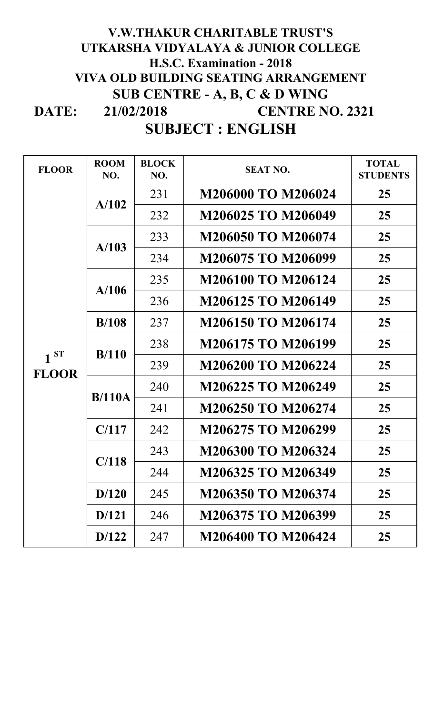## **DATE: SUBJECT : ENGLISH 21/02/2018 V.W.THAKUR CHARITABLE TRUST'S UTKARSHA VIDYALAYA & JUNIOR COLLEGE H.S.C. Examination - 2018 VIVA OLD BUILDING SEATING ARRANGEMENT SUB CENTRE - A, B, C & D WING CENTRE NO. 2321**

| <b>FLOOR</b>             | <b>ROOM</b><br>NO. | <b>BLOCK</b><br>NO. | <b>SEAT NO.</b>           | <b>TOTAL</b><br><b>STUDENTS</b> |
|--------------------------|--------------------|---------------------|---------------------------|---------------------------------|
| $1^{ST}$<br><b>FLOOR</b> | A/102              | 231                 | <b>M206000 TO M206024</b> | 25                              |
|                          |                    | 232                 | M206025 TO M206049        | 25                              |
|                          | A/103              | 233                 | <b>M206050 TO M206074</b> | 25                              |
|                          |                    | 234                 | M206075 TO M206099        | 25                              |
|                          | A/106              | 235                 | <b>M206100 TO M206124</b> | 25                              |
|                          |                    | 236                 | M206125 TO M206149        | 25                              |
|                          | B/108              | 237                 | <b>M206150 TO M206174</b> | 25                              |
|                          | B/110              | 238                 | M206175 TO M206199        | 25                              |
|                          |                    | 239                 | <b>M206200 TO M206224</b> | 25                              |
|                          | B/110A             | 240                 | M206225 TO M206249        | 25                              |
|                          |                    | 241                 | M206250 TO M206274        | 25                              |
|                          | C/117              | 242                 | M206275 TO M206299        | 25                              |
|                          | C/118              | 243                 | M206300 TO M206324        | 25                              |
|                          |                    | 244                 | M206325 TO M206349        | 25                              |
|                          | D/120              | 245                 | M206350 TO M206374        | 25                              |
|                          | D/121              | 246                 | M206375 TO M206399        | 25                              |
|                          | D/122              | 247                 | <b>M206400 TO M206424</b> | 25                              |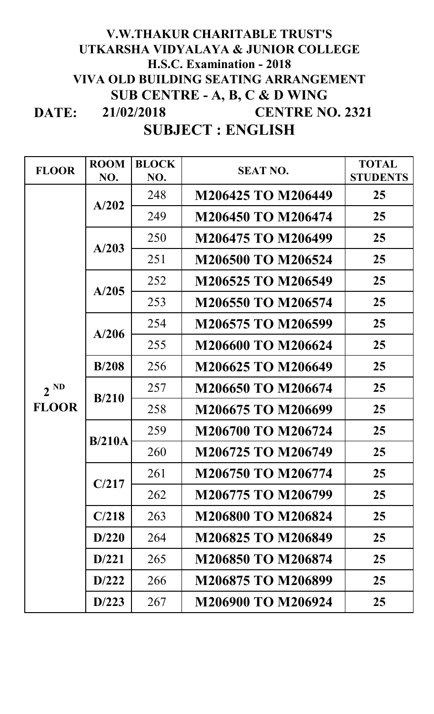## **DATE: 21/02/2018 V.W.THAKUR CHARITABLE TRUST'S UTKARSHA VIDYALAYA & JUNIOR COLLEGE H.S.C. Examination - 2018 VIVA OLD BUILDING SEATING ARRANGEMENT SUB CENTRE - A, B, C & D WING CENTRE NO. 2321**

## **SUBJECT : ENGLISH**

| <b>FLOOR</b>             | <b>ROOM</b><br>NO. | <b>BLOCK</b><br>NO. | <b>SEAT NO.</b>           | <b>TOTAL</b><br><b>STUDENTS</b> |
|--------------------------|--------------------|---------------------|---------------------------|---------------------------------|
| $2^{ND}$<br><b>FLOOR</b> | A/202              | 248                 | M206425 TO M206449        | 25                              |
|                          |                    | 249                 | M206450 TO M206474        | 25                              |
|                          | A/203              | 250                 | M206475 TO M206499        | 25                              |
|                          |                    | 251                 | <b>M206500 TO M206524</b> | 25                              |
|                          | A/205              | 252                 | M206525 TO M206549        | 25                              |
|                          |                    | 253                 | M206550 TO M206574        | 25                              |
|                          | A/206              | 254                 | M206575 TO M206599        | 25                              |
|                          |                    | 255                 | <b>M206600 TO M206624</b> | 25                              |
|                          | B/208              | 256                 | M206625 TO M206649        | 25                              |
|                          | B/210              | 257                 | M206650 TO M206674        | 25                              |
|                          |                    | 258                 | M206675 TO M206699        | 25                              |
|                          | B/210A             | 259                 | M206700 TO M206724        | 25                              |
|                          |                    | 260                 | M206725 TO M206749        | 25                              |
|                          | C/217              | 261                 | M206750 TO M206774        | 25                              |
|                          |                    | 262                 | M206775 TO M206799        | 25                              |
|                          | C/218              | 263                 | <b>M206800 TO M206824</b> | 25                              |
|                          | D/220              | 264                 | M206825 TO M206849        | 25                              |
|                          | D/221              | 265                 | M206850 TO M206874        | 25                              |
|                          | D/222              | 266                 | M206875 TO M206899        | 25                              |
|                          | D/223              | 267                 | M206900 TO M206924        | 25                              |